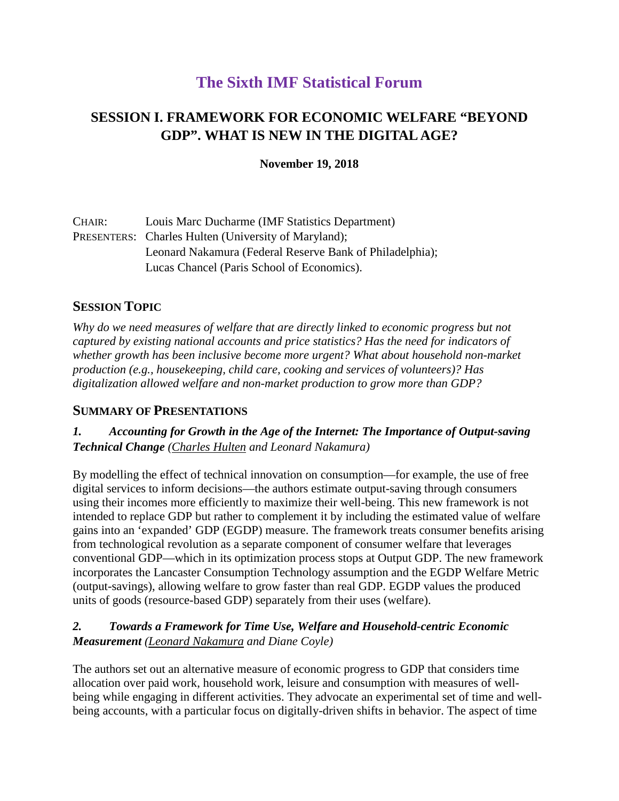# **The Sixth IMF Statistical Forum**

## **SESSION I. FRAMEWORK FOR ECONOMIC WELFARE "BEYOND GDP". WHAT IS NEW IN THE DIGITAL AGE?**

#### **November 19, 2018**

| CHAIR: | Louis Marc Ducharme (IMF Statistics Department)             |
|--------|-------------------------------------------------------------|
|        | <b>PRESENTERS:</b> Charles Hulten (University of Maryland); |
|        | Leonard Nakamura (Federal Reserve Bank of Philadelphia);    |
|        | Lucas Chancel (Paris School of Economics).                  |

### **SESSION TOPIC**

*Why do we need measures of welfare that are directly linked to economic progress but not captured by existing national accounts and price statistics? Has the need for indicators of whether growth has been inclusive become more urgent? What about household non-market production (e.g., housekeeping, child care, cooking and services of volunteers)? Has digitalization allowed welfare and non-market production to grow more than GDP?* 

#### **SUMMARY OF PRESENTATIONS**

*1. Accounting for Growth in the Age of the Internet: The Importance of Output-saving Technical Change (Charles Hulten and Leonard Nakamura)*

By modelling the effect of technical innovation on consumption—for example, the use of free digital services to inform decisions—the authors estimate output-saving through consumers using their incomes more efficiently to maximize their well-being. This new framework is not intended to replace GDP but rather to complement it by including the estimated value of welfare gains into an 'expanded' GDP (EGDP) measure. The framework treats consumer benefits arising from technological revolution as a separate component of consumer welfare that leverages conventional GDP—which in its optimization process stops at Output GDP. The new framework incorporates the Lancaster Consumption Technology assumption and the EGDP Welfare Metric (output-savings), allowing welfare to grow faster than real GDP. EGDP values the produced units of goods (resource-based GDP) separately from their uses (welfare).

### *2. Towards a Framework for Time Use, Welfare and Household-centric Economic Measurement (Leonard Nakamura and Diane Coyle)*

The authors set out an alternative measure of economic progress to GDP that considers time allocation over paid work, household work, leisure and consumption with measures of wellbeing while engaging in different activities. They advocate an experimental set of time and wellbeing accounts, with a particular focus on digitally-driven shifts in behavior. The aspect of time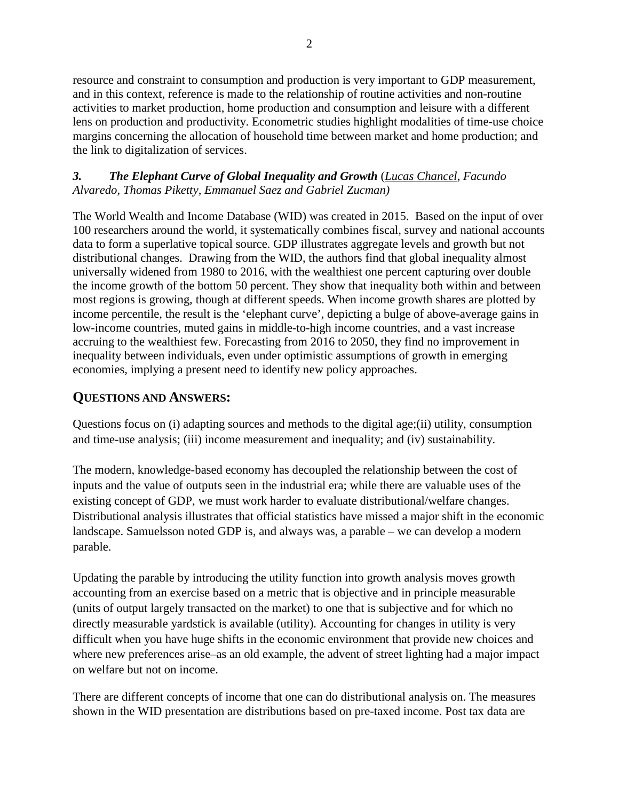resource and constraint to consumption and production is very important to GDP measurement, and in this context, reference is made to the relationship of routine activities and non-routine activities to market production, home production and consumption and leisure with a different lens on production and productivity. Econometric studies highlight modalities of time-use choice margins concerning the allocation of household time between market and home production; and the link to digitalization of services.

#### *3. The Elephant Curve of Global Inequality and Growth* (*Lucas Chancel*, *Facundo Alvaredo, Thomas Piketty, Emmanuel Saez and Gabriel Zucman)*

The World Wealth and Income Database (WID) was created in 2015. Based on the input of over 100 researchers around the world, it systematically combines fiscal, survey and national accounts data to form a superlative topical source. GDP illustrates aggregate levels and growth but not distributional changes. Drawing from the WID, the authors find that global inequality almost universally widened from 1980 to 2016, with the wealthiest one percent capturing over double the income growth of the bottom 50 percent. They show that inequality both within and between most regions is growing, though at different speeds. When income growth shares are plotted by income percentile, the result is the 'elephant curve', depicting a bulge of above-average gains in low-income countries, muted gains in middle-to-high income countries, and a vast increase accruing to the wealthiest few. Forecasting from 2016 to 2050, they find no improvement in inequality between individuals, even under optimistic assumptions of growth in emerging economies, implying a present need to identify new policy approaches.

## **QUESTIONS AND ANSWERS:**

Questions focus on (i) adapting sources and methods to the digital age;(ii) utility, consumption and time-use analysis; (iii) income measurement and inequality; and (iv) sustainability.

The modern, knowledge-based economy has decoupled the relationship between the cost of inputs and the value of outputs seen in the industrial era; while there are valuable uses of the existing concept of GDP, we must work harder to evaluate distributional/welfare changes. Distributional analysis illustrates that official statistics have missed a major shift in the economic landscape. Samuelsson noted GDP is, and always was, a parable – we can develop a modern parable.

Updating the parable by introducing the utility function into growth analysis moves growth accounting from an exercise based on a metric that is objective and in principle measurable (units of output largely transacted on the market) to one that is subjective and for which no directly measurable yardstick is available (utility). Accounting for changes in utility is very difficult when you have huge shifts in the economic environment that provide new choices and where new preferences arise–as an old example, the advent of street lighting had a major impact on welfare but not on income.

There are different concepts of income that one can do distributional analysis on. The measures shown in the WID presentation are distributions based on pre-taxed income. Post tax data are